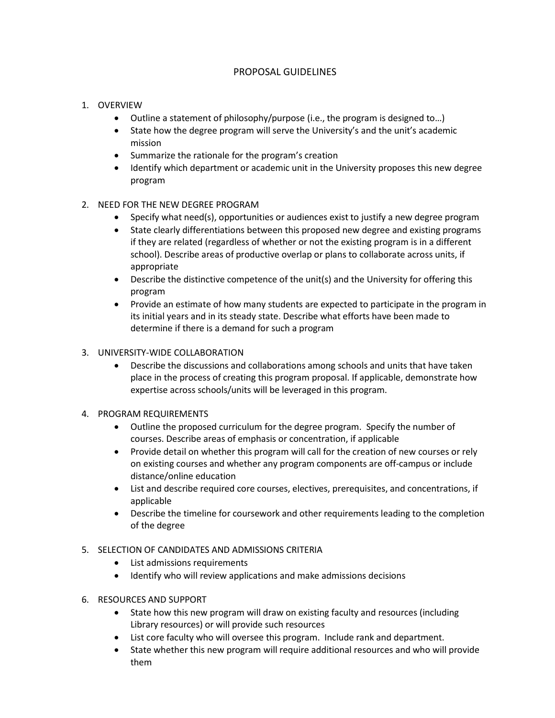## PROPOSAL GUIDELINES

## 1. OVERVIEW

- Outline a statement of philosophy/purpose (i.e., the program is designed to…)
- State how the degree program will serve the University's and the unit's academic mission
- Summarize the rationale for the program's creation
- Identify which department or academic unit in the University proposes this new degree program
- 2. NEED FOR THE NEW DEGREE PROGRAM
	- Specify what need(s), opportunities or audiences exist to justify a new degree program
	- State clearly differentiations between this proposed new degree and existing programs if they are related (regardless of whether or not the existing program is in a different school). Describe areas of productive overlap or plans to collaborate across units, if appropriate
	- Describe the distinctive competence of the unit(s) and the University for offering this program
	- Provide an estimate of how many students are expected to participate in the program in its initial years and in its steady state. Describe what efforts have been made to determine if there is a demand for such a program

## 3. UNIVERSITY-WIDE COLLABORATION

- Describe the discussions and collaborations among schools and units that have taken place in the process of creating this program proposal. If applicable, demonstrate how expertise across schools/units will be leveraged in this program.
- 4. PROGRAM REQUIREMENTS
	- Outline the proposed curriculum for the degree program. Specify the number of courses. Describe areas of emphasis or concentration, if applicable
	- Provide detail on whether this program will call for the creation of new courses or rely on existing courses and whether any program components are off-campus or include distance/online education
	- List and describe required core courses, electives, prerequisites, and concentrations, if applicable
	- Describe the timeline for coursework and other requirements leading to the completion of the degree

## 5. SELECTION OF CANDIDATES AND ADMISSIONS CRITERIA

- List admissions requirements
- Identify who will review applications and make admissions decisions
- 6. RESOURCES AND SUPPORT
	- State how this new program will draw on existing faculty and resources (including Library resources) or will provide such resources
	- List core faculty who will oversee this program. Include rank and department.
	- State whether this new program will require additional resources and who will provide them